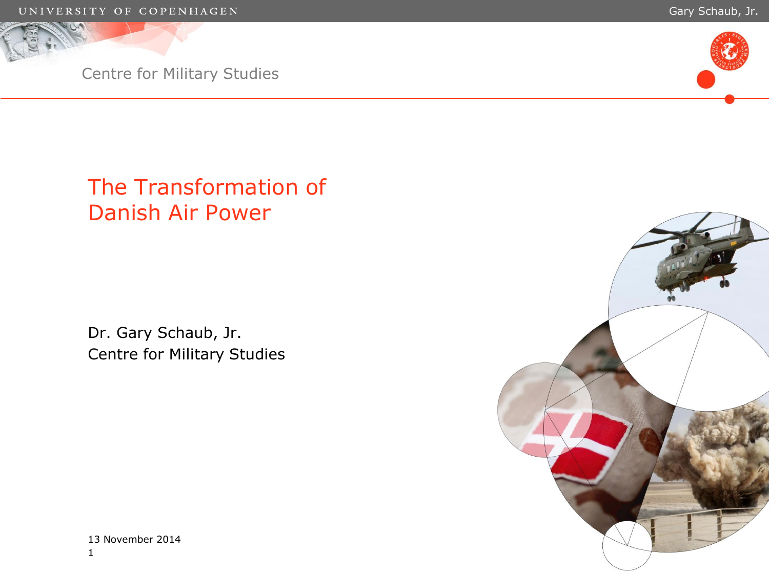



# The Transformation of Danish Air Power

Dr. Gary Schaub, Jr. Centre for Military Studies



1 13 November 2014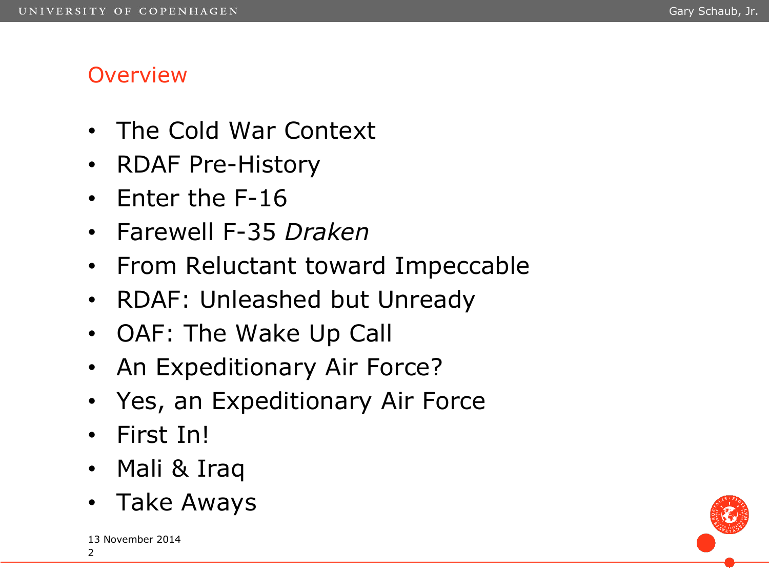# **Overview**

- The Cold War Context
- RDAF Pre-History
- Enter the F-16
- Farewell F-35 *Draken*
- From Reluctant toward Impeccable
- RDAF: Unleashed but Unready
- OAF: The Wake Up Call
- An Expeditionary Air Force?
- Yes, an Expeditionary Air Force
- First In!
- Mali & Iraq
- Take Aways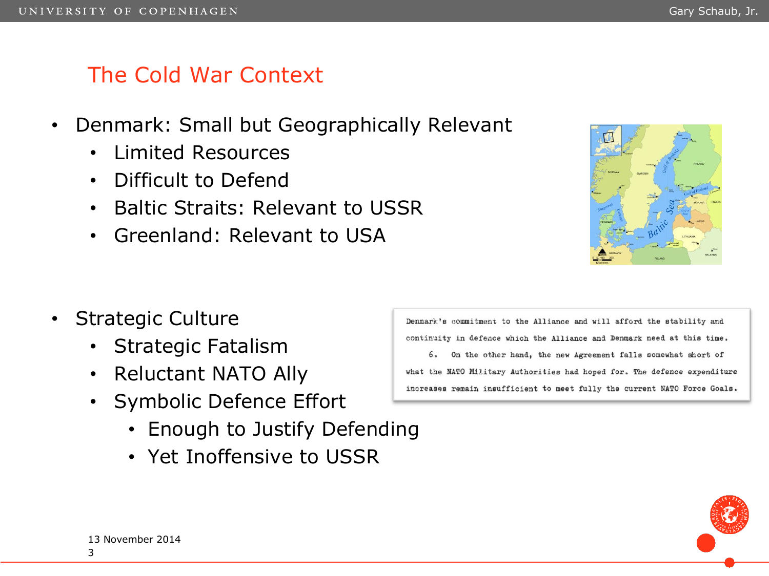#### The Cold War Context

- Denmark: Small but Geographically Relevant
	- Limited Resources
	- Difficult to Defend
	- Baltic Straits: Relevant to USSR
	- Greenland: Relevant to USA



- Strategic Culture
	- Strategic Fatalism
	- Reluctant NATO Ally
	- Symbolic Defence Effort
		- Enough to Justify Defending
		- Yet Inoffensive to USSR

Denmark's commitment to the Alliance and will afford the stability and continuity in defence which the Alliance and Denmark need at this time. 6. On the other hand, the new Agreement falls somewhat short of what the NATO Military Authorities had hoped for. The defence expenditure increases remain insufficient to meet fully the current NATO Force Goals.



#### 3 13 November 2014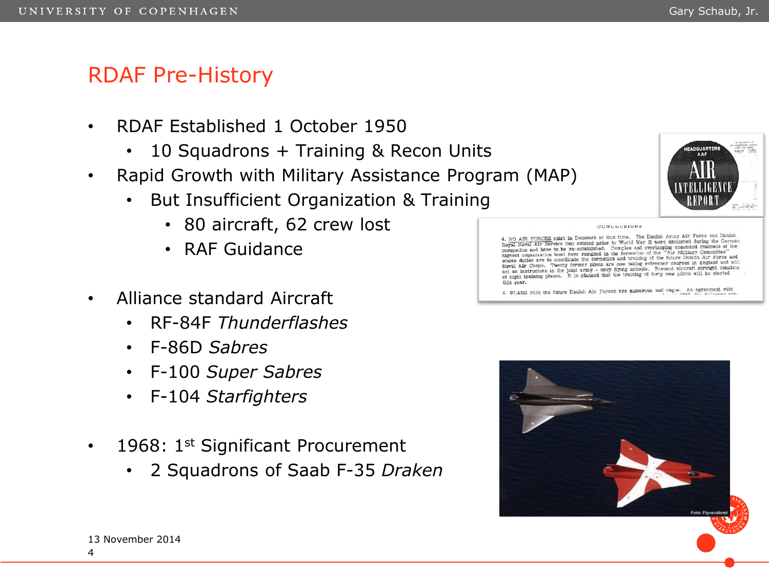#### RDAF Pre-History

- RDAF Established 1 October 1950
	- 10 Squadrons + Training & Recon Units
- Rapid Growth with Military Assistance Program (MAP)
	- But Insufficient Organization & Training
		- 80 aircraft, 62 crew lost
		- RAF Guidance
- Alliance standard Aircraft
	- RF-84F *Thunderflashes*
	- F-86D *Sabres*
	- F-100 *Super Sabres*
	- F-104 *Starfighters*
- 1968:  $1<sup>st</sup>$  Significant Procurement
	- 2 Squadrons of Saab F-35 *Draken*



CONCLUSIONS

4. NO AIR FORCES exist in Denmark at this time. The Danish Army Air Force and Danish 4. NO AIR FORCES exist in Denmark at this time. The Danish Army Air Force and Danish.<br>Royal Naval Air Service that existed prior to World War II were abolished during the German Royal Naval Air Service that existed prior to worm war is were abused on and channels at the occupation and have required in the formation of the "Air Military Committee"<br>highest organization level have required in the for migheet organization level have resulted in the formation of the future Danish Air Force and<br>whose duties are to coordinate the formation and training of the future Danish Air Force and whose duties are to coordinate the formation and training of the future beams in England and will Naval Air Corps. Twenty former plice are now taking refresher courses in anguine have the historical interval and the plant are as instructions in the plant of the plant of eight transition of eight training planes. It is this year.

5. PLANS FOR the future Danish Air Forces are numerous and vague. An agreement with

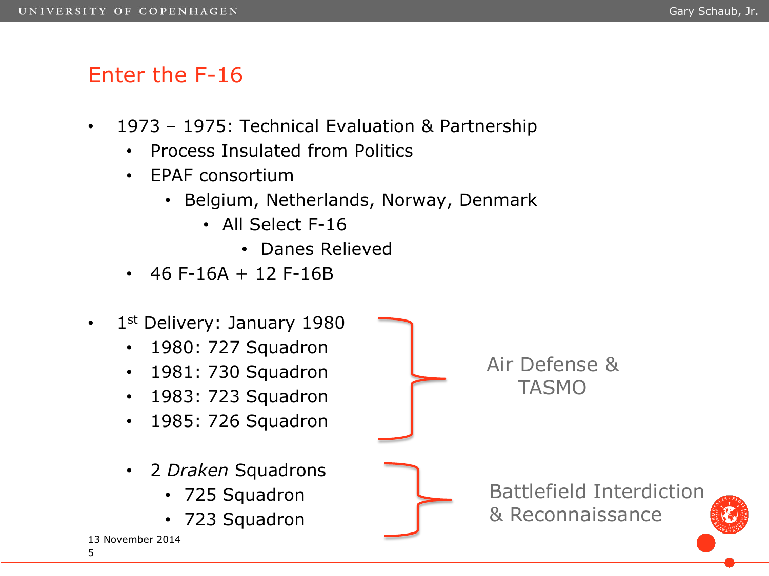# Enter the F-16

- 1973 1975: Technical Evaluation & Partnership
	- Process Insulated from Politics
	- EPAF consortium
		- Belgium, Netherlands, Norway, Denmark
			- All Select F-16
				- Danes Relieved
	- $\cdot$  46 F-16A + 12 F-16B

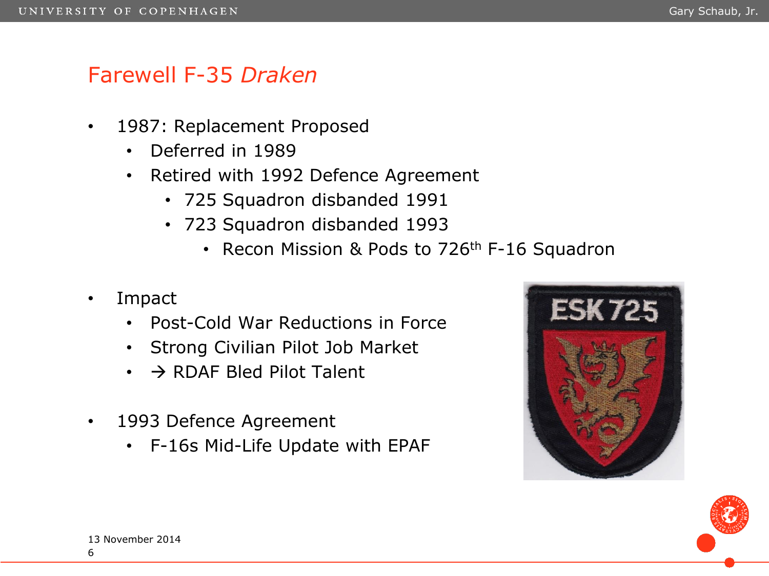#### Farewell F-35 *Draken*

- 1987: Replacement Proposed
	- Deferred in 1989
	- Retired with 1992 Defence Agreement
		- 725 Squadron disbanded 1991
		- 723 Squadron disbanded 1993
			- Recon Mission & Pods to 726<sup>th</sup> F-16 Squadron
- Impact
	- Post-Cold War Reductions in Force
	- Strong Civilian Pilot Job Market
	- $\cdot$   $\rightarrow$  RDAF Bled Pilot Talent
- 1993 Defence Agreement
	- F-16s Mid-Life Update with EPAF



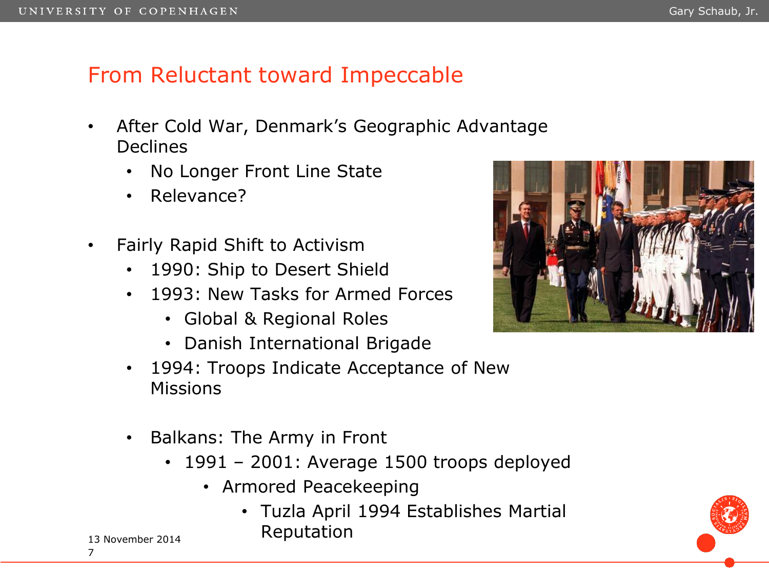# From Reluctant toward Impeccable

- After Cold War, Denmark's Geographic Advantage Declines
	- No Longer Front Line State
	- Relevance?
- Fairly Rapid Shift to Activism
	- 1990: Ship to Desert Shield
	- 1993: New Tasks for Armed Forces
		- Global & Regional Roles
		- Danish International Brigade
	- 1994: Troops Indicate Acceptance of New Missions
	- Balkans: The Army in Front
		- 1991 2001: Average 1500 troops deployed
			- Armored Peacekeeping
				- Tuzla April 1994 Establishes Martial Reputation





13 November 2014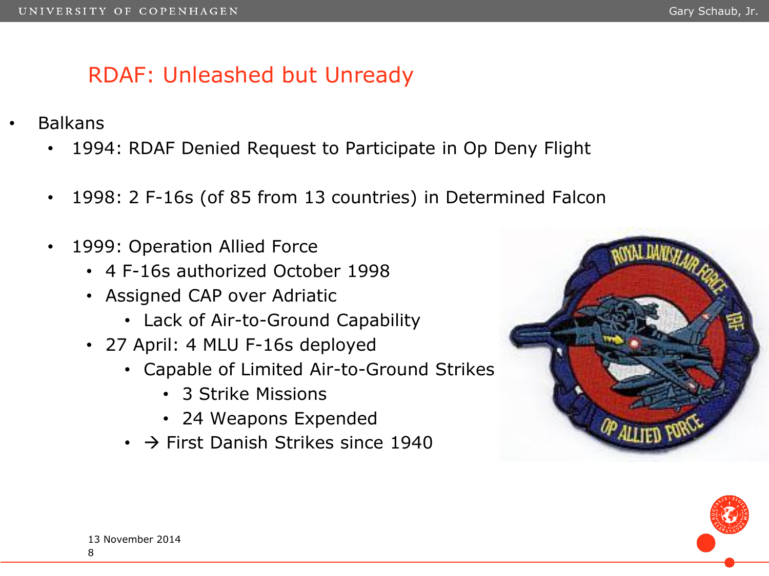# RDAF: Unleashed but Unready

- Balkans
	- 1994: RDAF Denied Request to Participate in Op Deny Flight
	- 1998: 2 F-16s (of 85 from 13 countries) in Determined Falcon
	- 1999: Operation Allied Force
		- 4 F-16s authorized October 1998
		- Assigned CAP over Adriatic
			- Lack of Air-to-Ground Capability
		- 27 April: 4 MLU F-16s deployed
			- Capable of Limited Air-to-Ground Strikes
				- 3 Strike Missions
				- 24 Weapons Expended
			- $\cdot$   $\rightarrow$  First Danish Strikes since 1940



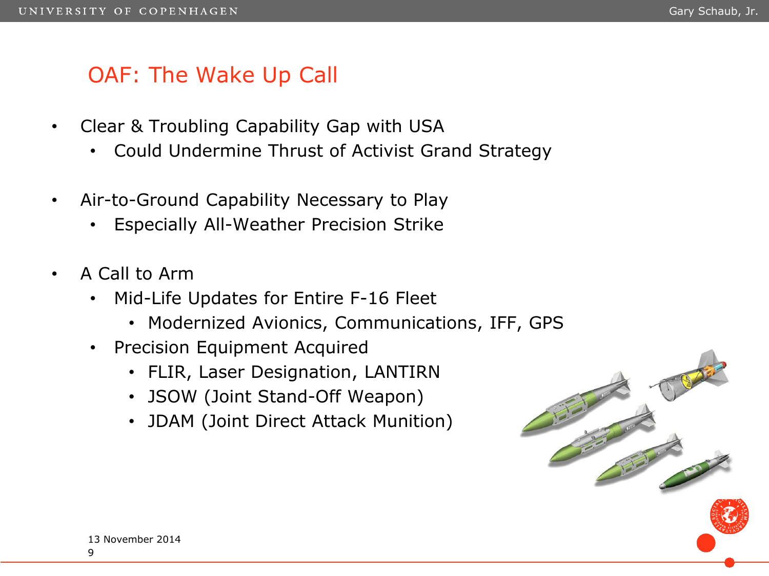# OAF: The Wake Up Call

- Clear & Troubling Capability Gap with USA
	- Could Undermine Thrust of Activist Grand Strategy
- Air-to-Ground Capability Necessary to Play
	- Especially All-Weather Precision Strike
- A Call to Arm
	- Mid-Life Updates for Entire F-16 Fleet
		- Modernized Avionics, Communications, IFF, GPS
	- Precision Equipment Acquired
		- FLIR, Laser Designation, LANTIRN
		- JSOW (Joint Stand-Off Weapon)
		- JDAM (Joint Direct Attack Munition)

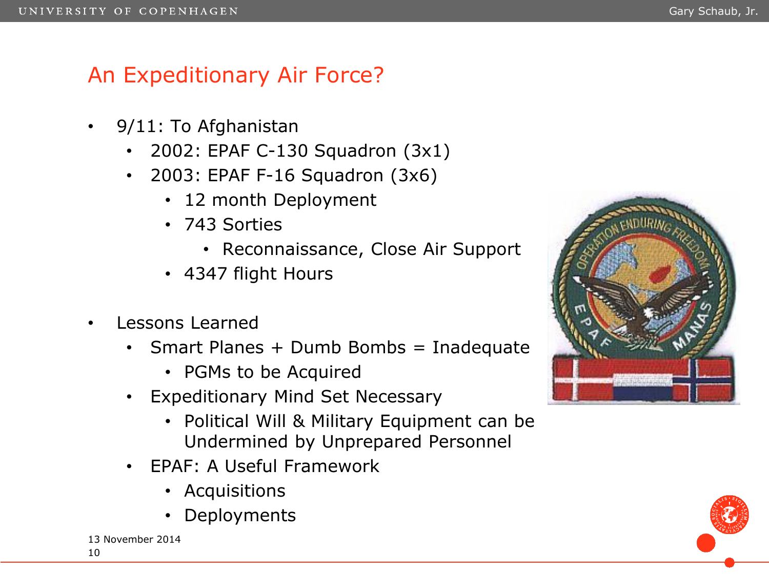# An Expeditionary Air Force?

- 9/11: To Afghanistan
	- 2002: EPAF C-130 Squadron (3x1)
	- 2003: EPAF F-16 Squadron (3x6)
		- 12 month Deployment
		- 743 Sorties
			- Reconnaissance, Close Air Support
		- 4347 flight Hours
- Lessons Learned
	- Smart Planes + Dumb Bombs = Inadequate
		- PGMs to be Acquired
	- Expeditionary Mind Set Necessary
		- Political Will & Military Equipment can be Undermined by Unprepared Personnel
	- EPAF: A Useful Framework
		- Acquisitions
		- Deployments



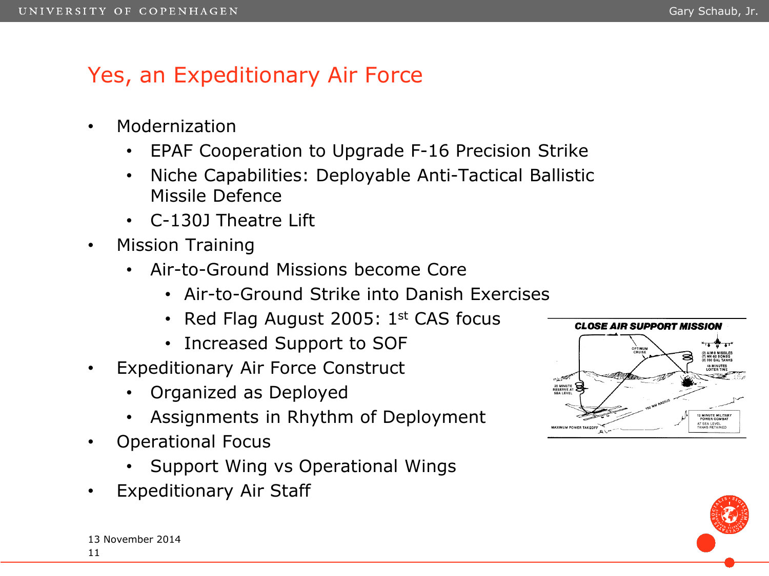#### Gary Schaub, Jr.

# Yes, an Expeditionary Air Force

- Modernization
	- EPAF Cooperation to Upgrade F-16 Precision Strike
	- Niche Capabilities: Deployable Anti-Tactical Ballistic Missile Defence
	- C-130J Theatre Lift
- Mission Training
	- Air-to-Ground Missions become Core
		- Air-to-Ground Strike into Danish Exercises
		- Red Flag August 2005:  $1<sup>st</sup>$  CAS focus
		- Increased Support to SOF
- Expeditionary Air Force Construct
	- Organized as Deployed
	- Assignments in Rhythm of Deployment
- Operational Focus
	- Support Wing vs Operational Wings
- Expeditionary Air Staff



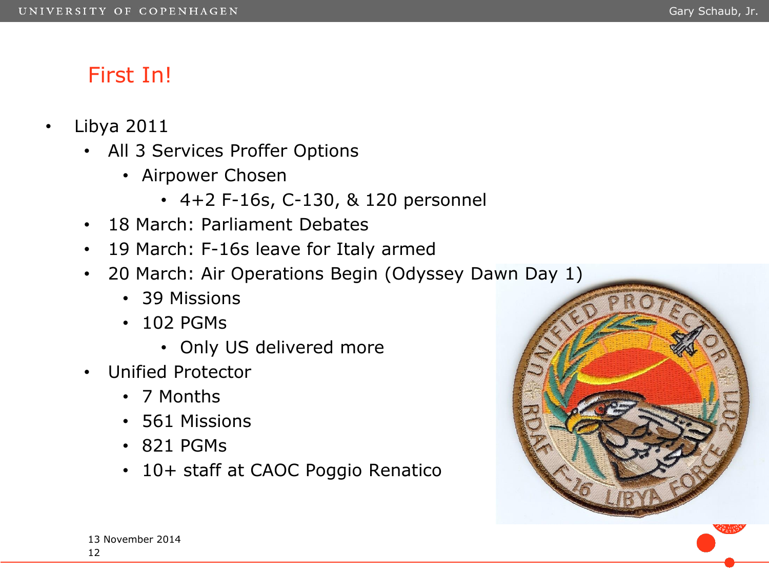# First In!

- Libya 2011
	- All 3 Services Proffer Options
		- Airpower Chosen
			- 4+2 F-16s, C-130, & 120 personnel
	- 18 March: Parliament Debates
	- 19 March: F-16s leave for Italy armed
	- 20 March: Air Operations Begin (Odyssey Dawn Day 1)
		- 39 Missions
		- 102 PGMs
			- Only US delivered more
	- Unified Protector
		- 7 Months
		- 561 Missions
		- 821 PGMs
		- 10+ staff at CAOC Poggio Renatico

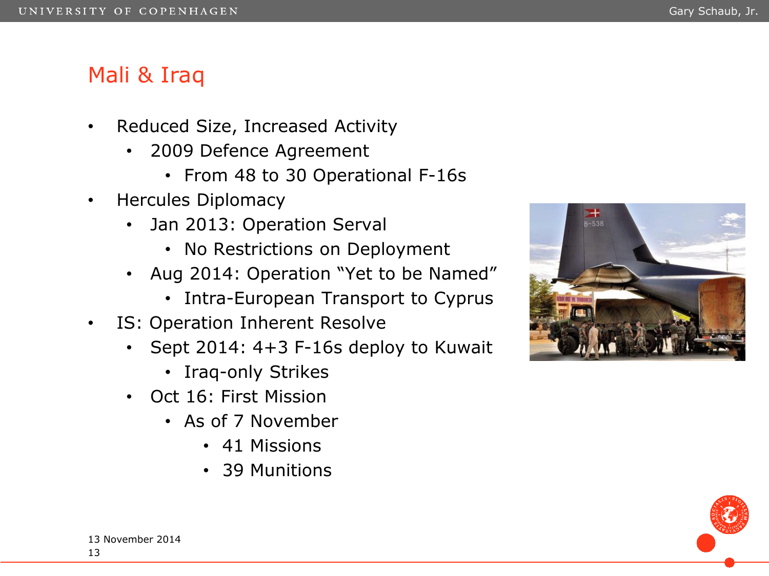# Mali & Iraq

- Reduced Size, Increased Activity
	- 2009 Defence Agreement
		- From 48 to 30 Operational F-16s
- Hercules Diplomacy
	- Jan 2013: Operation Serval
		- No Restrictions on Deployment
	- Aug 2014: Operation "Yet to be Named"
		- Intra-European Transport to Cyprus
- IS: Operation Inherent Resolve
	- Sept 2014: 4+3 F-16s deploy to Kuwait
		- Iraq-only Strikes
	- Oct 16: First Mission
		- As of 7 November
			- 41 Missions
			- 39 Munitions